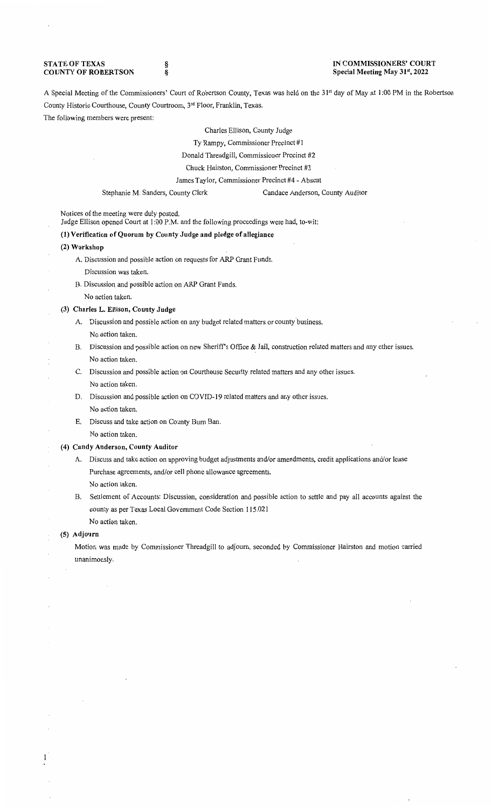#### **STATE OF TEXAS COUNTY OF ROBERTSON**

§ §

# **IN COMMISSIONERS' COURT Special Meeting May 31'<sup>1</sup> , 2022**

A Special Meeting of the Commissioners' Court of Robertson County, Texas was held on the 31<sup>st</sup> day of May at 1:00 PM in the Robertson County Historic Courthouse, County Courtroom, 3rd Floor, Franklin, Texas.

The following members were present:

Charles Ellison, County Judge

Ty Rampy, Commissioner Precinct #1

Donald Threadgill, Commissioner Precinct #2

Chuck Hairston, Commissioner Precinct #3

James Taylor, Commissioner Precinct #4 - Absent

Stephanie M. Sanders, County Clerk Candace Anderson, County Auditor

Notices of the meeting were duly posted.

Judge Ellison opened Court at 1:00 P.M. and the following proceedings were had, to-wit:

### **(1) Verification of Quorum by County Judge and pledge of allegiance**

- **(2) Workshop** 
	- A. Discussion and possible action on requests for ARP Grant Funds.
		- Discussion was taken.
	- B. Discussion and possible action on ARP Grant Funds.
		- No action taken.

## **(3) Charles L. Ellison, County Judge**

- A. Discussion and possible action on any budget related matters or county business. No action taken.
- B. Discussion and possible action on new Sheriffs Office & Jail, construction related matters and any other issues. No action taken.
- C. Discussion and possible action on Courthouse Security related matters and any other issues. No action taken.
- D. Discussion and possible action on COVID-19 related matters and any other issues. No action taken.
- E. Discuss and take action on County Bum Ban. No action taken.

# **(4) Candy Anderson, County Auditor**

- A. Discuss and take action on approving budget adjustments and/or amendments, credit applications and/or lease Purchase agreements, and/or cell phone allowance agreements.
	- No action taken.
- B. Settlement of Accounts: Discussion, consideration and possible action to settle and pay all accounts against the county as per Texas Local Government Code Section 115.021
- No action taken.

# **(5) Adjourn**

1

Motion was made by Commissioner Threadgill to adjourn, seconded by Commissioner Hairston and motion carried unanimously.